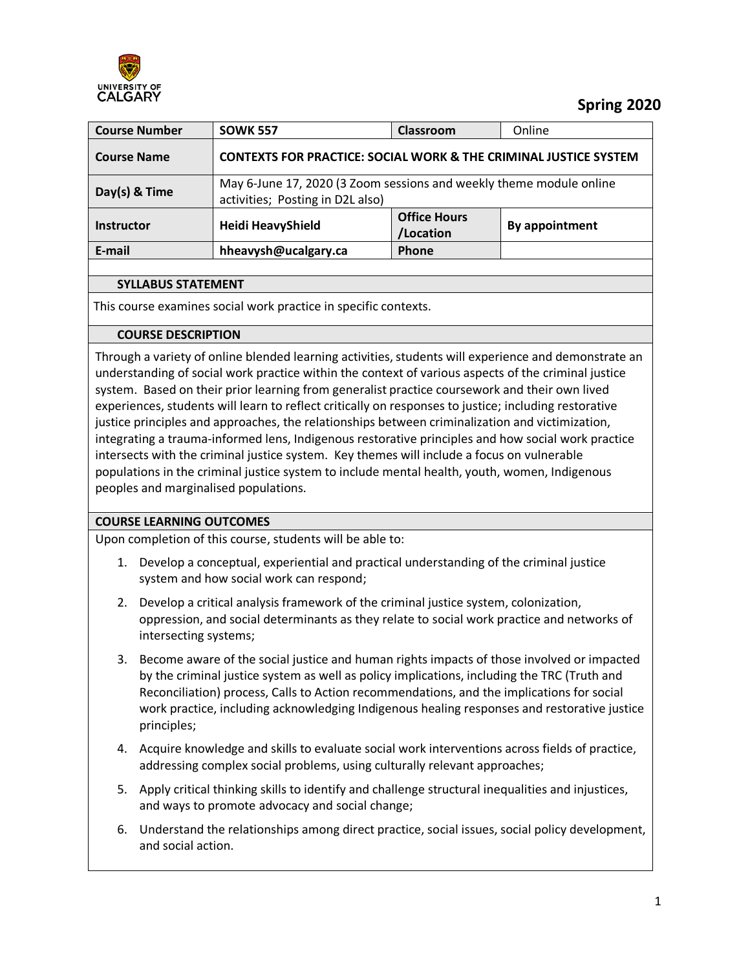

# **Spring 2020**

| <b>Course Number</b> | <b>SOWK 557</b>                                                                                         | <b>Classroom</b>                 | Online         |
|----------------------|---------------------------------------------------------------------------------------------------------|----------------------------------|----------------|
| <b>Course Name</b>   | <b>CONTEXTS FOR PRACTICE: SOCIAL WORK &amp; THE CRIMINAL JUSTICE SYSTEM</b>                             |                                  |                |
| Day(s) & Time        | May 6-June 17, 2020 (3 Zoom sessions and weekly theme module online<br>activities; Posting in D2L also) |                                  |                |
| <b>Instructor</b>    | <b>Heidi HeavyShield</b>                                                                                | <b>Office Hours</b><br>/Location | By appointment |
| E-mail               | hheavysh@ucalgary.ca                                                                                    | Phone                            |                |
|                      |                                                                                                         |                                  |                |

### **SYLLABUS STATEMENT**

This course examines social work practice in specific contexts.

### **COURSE DESCRIPTION**

Through a variety of online blended learning activities, students will experience and demonstrate an understanding of social work practice within the context of various aspects of the criminal justice system. Based on their prior learning from generalist practice coursework and their own lived experiences, students will learn to reflect critically on responses to justice; including restorative justice principles and approaches, the relationships between criminalization and victimization, integrating a trauma-informed lens, Indigenous restorative principles and how social work practice intersects with the criminal justice system. Key themes will include a focus on vulnerable populations in the criminal justice system to include mental health, youth, women, Indigenous peoples and marginalised populations.

# **COURSE LEARNING OUTCOMES**

Upon completion of this course, students will be able to:

- 1. Develop a conceptual, experiential and practical understanding of the criminal justice system and how social work can respond;
- 2. Develop a critical analysis framework of the criminal justice system, colonization, oppression, and social determinants as they relate to social work practice and networks of intersecting systems;
- 3. Become aware of the social justice and human rights impacts of those involved or impacted by the criminal justice system as well as policy implications, including the TRC (Truth and Reconciliation) process, Calls to Action recommendations, and the implications for social work practice, including acknowledging Indigenous healing responses and restorative justice principles;
- 4. Acquire knowledge and skills to evaluate social work interventions across fields of practice, addressing complex social problems, using culturally relevant approaches;
- 5. Apply critical thinking skills to identify and challenge structural inequalities and injustices, and ways to promote advocacy and social change;
- 6. Understand the relationships among direct practice, social issues, social policy development, and social action.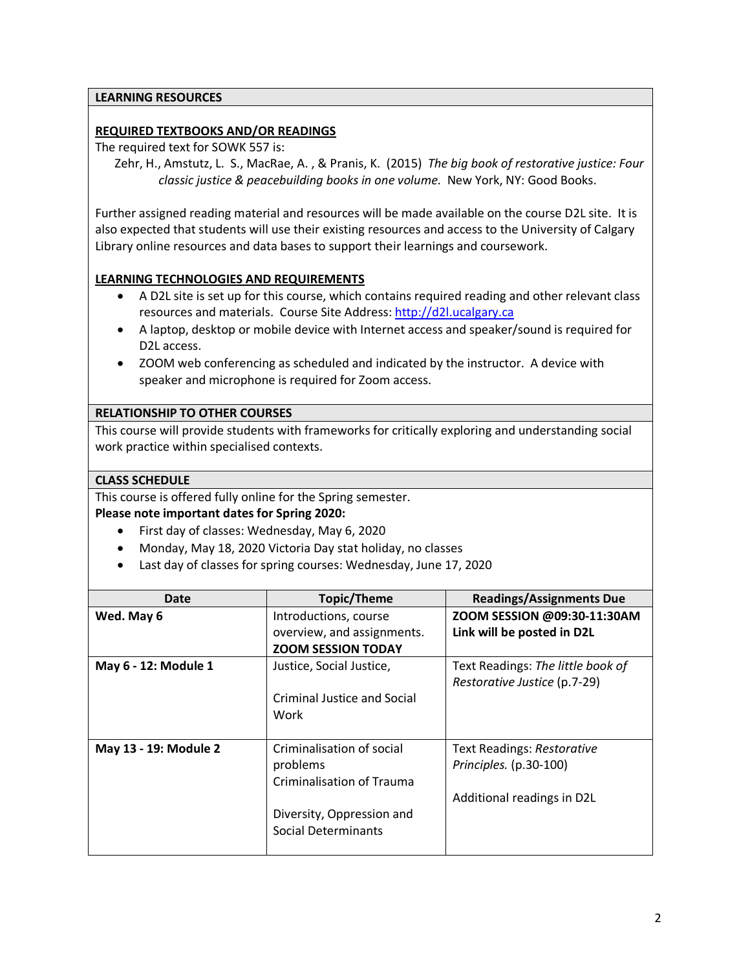### **LEARNING RESOURCES**

### **REQUIRED TEXTBOOKS AND/OR READINGS**

The required text for SOWK 557 is:

Zehr, H., Amstutz, L. S., MacRae, A. , & Pranis, K. (2015) *The big book of restorative justice: Four classic justice & peacebuilding books in one volume.* New York, NY: Good Books.

Further assigned reading material and resources will be made available on the course D2L site. It is also expected that students will use their existing resources and access to the University of Calgary Library online resources and data bases to support their learnings and coursework.

### **LEARNING TECHNOLOGIES AND REQUIREMENTS**

- A D2L site is set up for this course, which contains required reading and other relevant class resources and materials. Course Site Address[: http://d2l.ucalgary.ca](http://d2l.ucalgary.ca/)
- A laptop, desktop or mobile device with Internet access and speaker/sound is required for D2L access.
- ZOOM web conferencing as scheduled and indicated by the instructor. A device with speaker and microphone is required for Zoom access.

### **RELATIONSHIP TO OTHER COURSES**

This course will provide students with frameworks for critically exploring and understanding social work practice within specialised contexts.

### **CLASS SCHEDULE**

This course is offered fully online for the Spring semester.

#### **Please note important dates for Spring 2020:**

- First day of classes: Wednesday, May 6, 2020
- Monday, May 18, 2020 Victoria Day stat holiday, no classes
- Last day of classes for spring courses: Wednesday, June 17, 2020

| Date                  | <b>Topic/Theme</b>          | <b>Readings/Assignments Due</b>   |
|-----------------------|-----------------------------|-----------------------------------|
| Wed. May 6            | Introductions, course       | ZOOM SESSION @09:30-11:30AM       |
|                       | overview, and assignments.  | Link will be posted in D2L        |
|                       | <b>ZOOM SESSION TODAY</b>   |                                   |
| May 6 - 12: Module 1  | Justice, Social Justice,    | Text Readings: The little book of |
|                       |                             | Restorative Justice (p.7-29)      |
|                       | Criminal Justice and Social |                                   |
|                       | Work                        |                                   |
|                       |                             |                                   |
| May 13 - 19: Module 2 | Criminalisation of social   | Text Readings: Restorative        |
|                       | problems                    | Principles. $(p.30-100)$          |
|                       | Criminalisation of Trauma   |                                   |
|                       |                             | Additional readings in D2L        |
|                       | Diversity, Oppression and   |                                   |
|                       | Social Determinants         |                                   |
|                       |                             |                                   |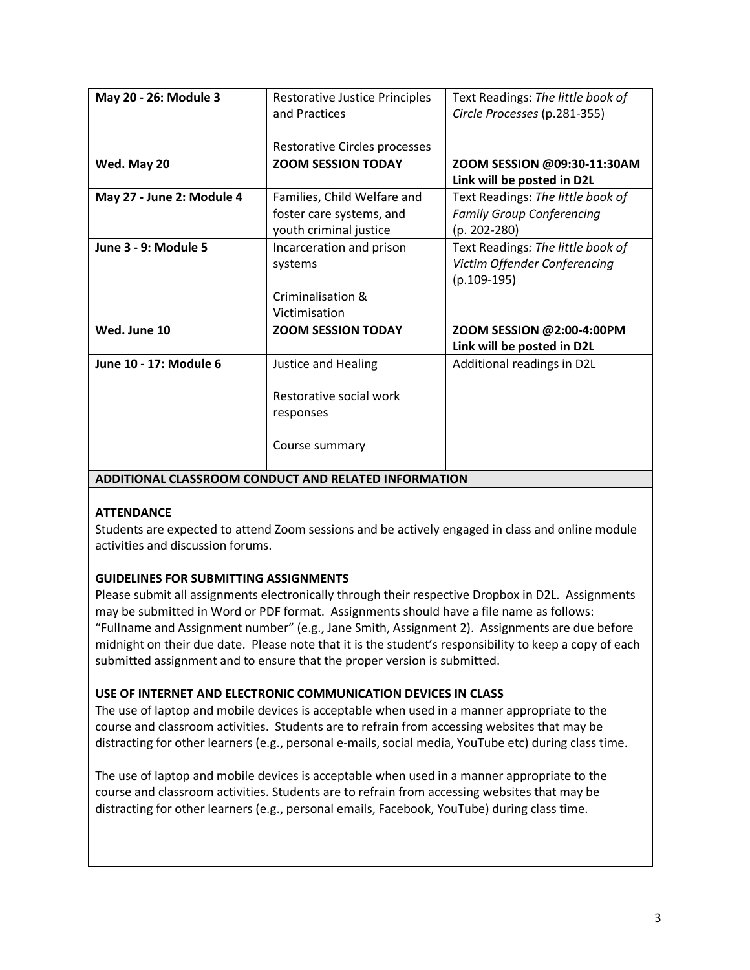| May 20 - 26: Module 3     | <b>Restorative Justice Principles</b> | Text Readings: The little book of |
|---------------------------|---------------------------------------|-----------------------------------|
|                           | and Practices                         | Circle Processes (p.281-355)      |
|                           |                                       |                                   |
|                           | Restorative Circles processes         |                                   |
| Wed. May 20               | <b>ZOOM SESSION TODAY</b>             | ZOOM SESSION @09:30-11:30AM       |
|                           |                                       | Link will be posted in D2L        |
| May 27 - June 2: Module 4 | Families, Child Welfare and           | Text Readings: The little book of |
|                           | foster care systems, and              | <b>Family Group Conferencing</b>  |
|                           | youth criminal justice                | $(p. 202 - 280)$                  |
| June 3 - 9: Module 5      | Incarceration and prison              | Text Readings: The little book of |
|                           | systems                               | Victim Offender Conferencing      |
|                           |                                       | $(p.109-195)$                     |
|                           | Criminalisation &                     |                                   |
|                           | Victimisation                         |                                   |
| Wed. June 10              | <b>ZOOM SESSION TODAY</b>             | ZOOM SESSION @2:00-4:00PM         |
|                           |                                       | Link will be posted in D2L        |
| June 10 - 17: Module 6    | <b>Justice and Healing</b>            | Additional readings in D2L        |
|                           |                                       |                                   |
|                           | Restorative social work               |                                   |
|                           | responses                             |                                   |
|                           |                                       |                                   |
|                           | Course summary                        |                                   |
|                           |                                       |                                   |

**ADDITIONAL CLASSROOM CONDUCT AND RELATED INFORMATION**

# **ATTENDANCE**

Students are expected to attend Zoom sessions and be actively engaged in class and online module activities and discussion forums.

# **GUIDELINES FOR SUBMITTING ASSIGNMENTS**

Please submit all assignments electronically through their respective Dropbox in D2L. Assignments may be submitted in Word or PDF format. Assignments should have a file name as follows: "Fullname and Assignment number" (e.g., Jane Smith, Assignment 2). Assignments are due before midnight on their due date. Please note that it is the student's responsibility to keep a copy of each submitted assignment and to ensure that the proper version is submitted.

# **USE OF INTERNET AND ELECTRONIC COMMUNICATION DEVICES IN CLASS**

The use of laptop and mobile devices is acceptable when used in a manner appropriate to the course and classroom activities. Students are to refrain from accessing websites that may be distracting for other learners (e.g., personal e-mails, social media, YouTube etc) during class time.

The use of laptop and mobile devices is acceptable when used in a manner appropriate to the course and classroom activities. Students are to refrain from accessing websites that may be distracting for other learners (e.g., personal emails, Facebook, YouTube) during class time.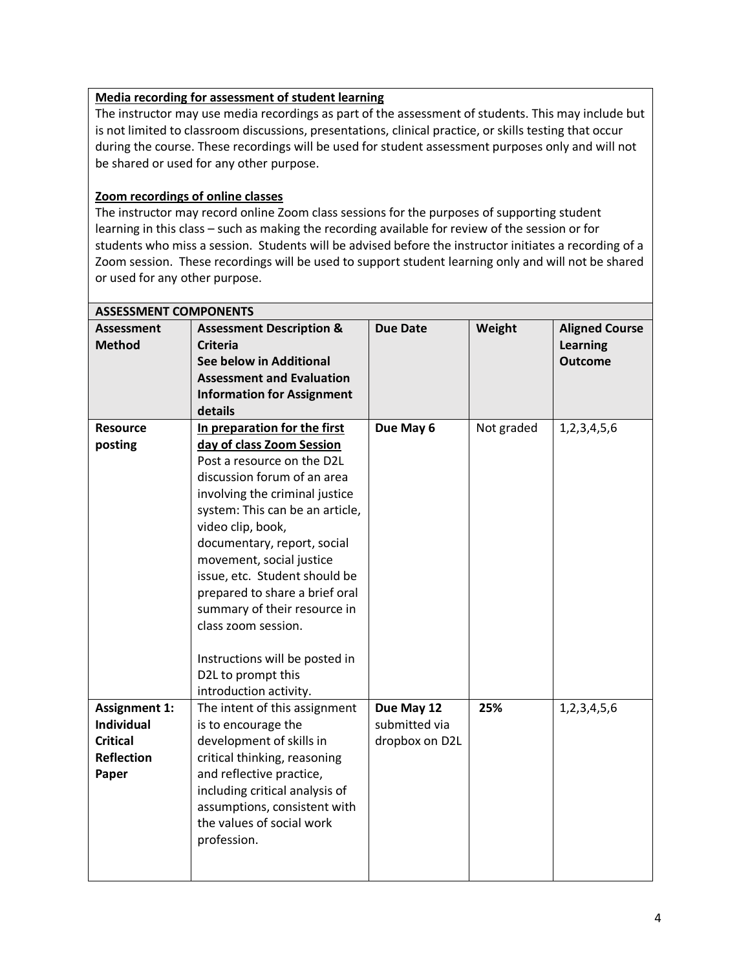# **Media recording for assessment of student learning**

The instructor may use media recordings as part of the assessment of students. This may include but is not limited to classroom discussions, presentations, clinical practice, or skills testing that occur during the course. These recordings will be used for student assessment purposes only and will not be shared or used for any other purpose.

### **Zoom recordings of online classes**

The instructor may record online Zoom class sessions for the purposes of supporting student learning in this class – such as making the recording available for review of the session or for students who miss a session. Students will be advised before the instructor initiates a recording of a Zoom session. These recordings will be used to support student learning only and will not be shared or used for any other purpose.

| <b>ASSESSMENT COMPONENTS</b> |                                     |                 |            |                       |  |
|------------------------------|-------------------------------------|-----------------|------------|-----------------------|--|
| <b>Assessment</b>            | <b>Assessment Description &amp;</b> | <b>Due Date</b> | Weight     | <b>Aligned Course</b> |  |
| <b>Method</b>                | <b>Criteria</b>                     |                 |            | <b>Learning</b>       |  |
|                              | See below in Additional             |                 |            | <b>Outcome</b>        |  |
|                              | <b>Assessment and Evaluation</b>    |                 |            |                       |  |
|                              | <b>Information for Assignment</b>   |                 |            |                       |  |
|                              | details                             |                 |            |                       |  |
| <b>Resource</b>              | In preparation for the first        | Due May 6       | Not graded | 1,2,3,4,5,6           |  |
| posting                      | day of class Zoom Session           |                 |            |                       |  |
|                              | Post a resource on the D2L          |                 |            |                       |  |
|                              | discussion forum of an area         |                 |            |                       |  |
|                              | involving the criminal justice      |                 |            |                       |  |
|                              | system: This can be an article,     |                 |            |                       |  |
|                              | video clip, book,                   |                 |            |                       |  |
|                              | documentary, report, social         |                 |            |                       |  |
|                              | movement, social justice            |                 |            |                       |  |
|                              | issue, etc. Student should be       |                 |            |                       |  |
|                              | prepared to share a brief oral      |                 |            |                       |  |
|                              | summary of their resource in        |                 |            |                       |  |
|                              | class zoom session.                 |                 |            |                       |  |
|                              |                                     |                 |            |                       |  |
|                              | Instructions will be posted in      |                 |            |                       |  |
|                              | D2L to prompt this                  |                 |            |                       |  |
|                              | introduction activity.              |                 |            |                       |  |
| <b>Assignment 1:</b>         | The intent of this assignment       | Due May 12      | 25%        | 1,2,3,4,5,6           |  |
| <b>Individual</b>            | is to encourage the                 | submitted via   |            |                       |  |
| <b>Critical</b>              | development of skills in            | dropbox on D2L  |            |                       |  |
| <b>Reflection</b>            | critical thinking, reasoning        |                 |            |                       |  |
| Paper                        | and reflective practice,            |                 |            |                       |  |
|                              | including critical analysis of      |                 |            |                       |  |
|                              | assumptions, consistent with        |                 |            |                       |  |
|                              | the values of social work           |                 |            |                       |  |
|                              | profession.                         |                 |            |                       |  |
|                              |                                     |                 |            |                       |  |
|                              |                                     |                 |            |                       |  |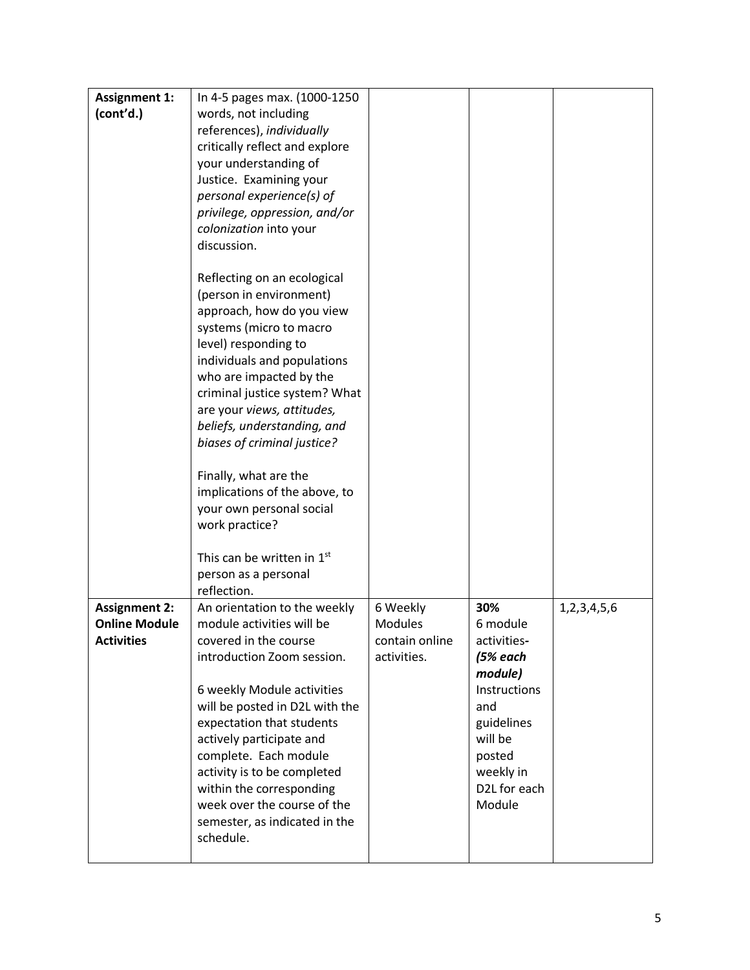| <b>Assignment 1:</b> | In 4-5 pages max. (1000-1250   |                |              |             |
|----------------------|--------------------------------|----------------|--------------|-------------|
| (cont'd.)            | words, not including           |                |              |             |
|                      | references), individually      |                |              |             |
|                      | critically reflect and explore |                |              |             |
|                      | your understanding of          |                |              |             |
|                      | Justice. Examining your        |                |              |             |
|                      | personal experience(s) of      |                |              |             |
|                      | privilege, oppression, and/or  |                |              |             |
|                      | colonization into your         |                |              |             |
|                      | discussion.                    |                |              |             |
|                      |                                |                |              |             |
|                      | Reflecting on an ecological    |                |              |             |
|                      | (person in environment)        |                |              |             |
|                      | approach, how do you view      |                |              |             |
|                      | systems (micro to macro        |                |              |             |
|                      | level) responding to           |                |              |             |
|                      | individuals and populations    |                |              |             |
|                      | who are impacted by the        |                |              |             |
|                      | criminal justice system? What  |                |              |             |
|                      | are your views, attitudes,     |                |              |             |
|                      | beliefs, understanding, and    |                |              |             |
|                      | biases of criminal justice?    |                |              |             |
|                      |                                |                |              |             |
|                      | Finally, what are the          |                |              |             |
|                      | implications of the above, to  |                |              |             |
|                      | your own personal social       |                |              |             |
|                      | work practice?                 |                |              |             |
|                      | This can be written in 1st     |                |              |             |
|                      | person as a personal           |                |              |             |
|                      | reflection.                    |                |              |             |
| <b>Assignment 2:</b> | An orientation to the weekly   | 6 Weekly       | 30%          | 1,2,3,4,5,6 |
| <b>Online Module</b> | module activities will be      | <b>Modules</b> | 6 module     |             |
| <b>Activities</b>    | covered in the course          | contain online | activities-  |             |
|                      | introduction Zoom session.     | activities.    | (5% each     |             |
|                      |                                |                | module)      |             |
|                      | 6 weekly Module activities     |                | Instructions |             |
|                      | will be posted in D2L with the |                | and          |             |
|                      | expectation that students      |                | guidelines   |             |
|                      | actively participate and       |                | will be      |             |
|                      | complete. Each module          |                | posted       |             |
|                      | activity is to be completed    |                | weekly in    |             |
|                      | within the corresponding       |                | D2L for each |             |
|                      | week over the course of the    |                | Module       |             |
|                      | semester, as indicated in the  |                |              |             |
|                      | schedule.                      |                |              |             |
|                      |                                |                |              |             |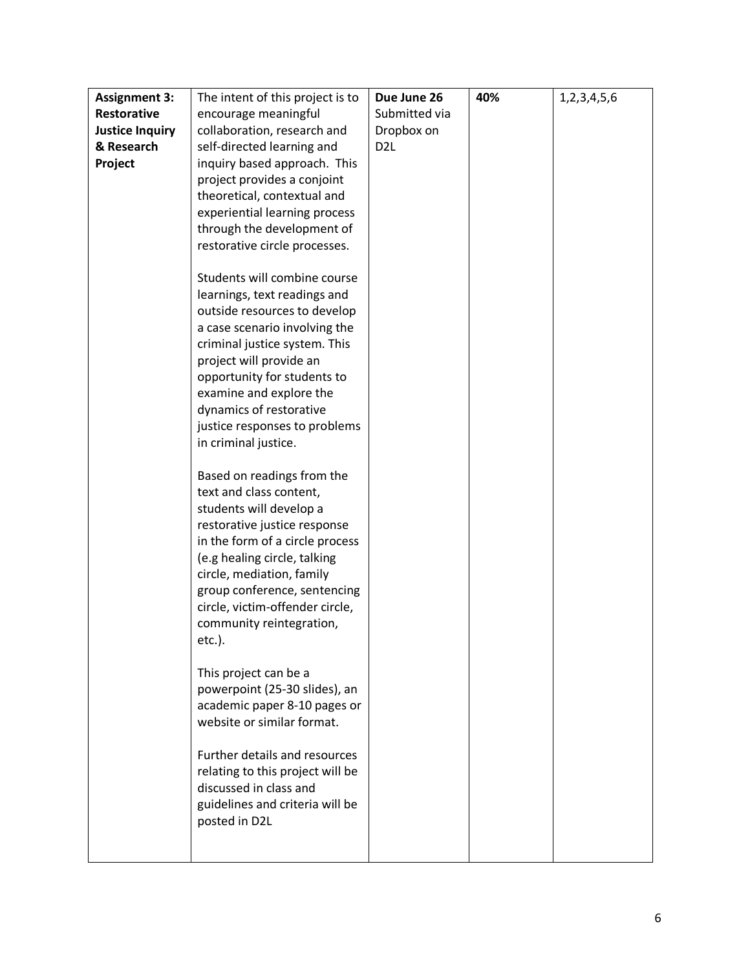| <b>Assignment 3:</b>   | The intent of this project is to                          | Due June 26     | 40% | 1,2,3,4,5,6 |
|------------------------|-----------------------------------------------------------|-----------------|-----|-------------|
| <b>Restorative</b>     | encourage meaningful                                      | Submitted via   |     |             |
| <b>Justice Inquiry</b> | collaboration, research and                               | Dropbox on      |     |             |
| & Research             | self-directed learning and                                | D <sub>2L</sub> |     |             |
| Project                | inquiry based approach. This                              |                 |     |             |
|                        | project provides a conjoint                               |                 |     |             |
|                        | theoretical, contextual and                               |                 |     |             |
|                        | experiential learning process                             |                 |     |             |
|                        | through the development of                                |                 |     |             |
|                        | restorative circle processes.                             |                 |     |             |
|                        |                                                           |                 |     |             |
|                        | Students will combine course                              |                 |     |             |
|                        | learnings, text readings and                              |                 |     |             |
|                        | outside resources to develop                              |                 |     |             |
|                        | a case scenario involving the                             |                 |     |             |
|                        | criminal justice system. This                             |                 |     |             |
|                        | project will provide an                                   |                 |     |             |
|                        | opportunity for students to                               |                 |     |             |
|                        | examine and explore the                                   |                 |     |             |
|                        | dynamics of restorative                                   |                 |     |             |
|                        | justice responses to problems                             |                 |     |             |
|                        | in criminal justice.                                      |                 |     |             |
|                        |                                                           |                 |     |             |
|                        | Based on readings from the                                |                 |     |             |
|                        | text and class content,                                   |                 |     |             |
|                        | students will develop a                                   |                 |     |             |
|                        | restorative justice response                              |                 |     |             |
|                        | in the form of a circle process                           |                 |     |             |
|                        | (e.g healing circle, talking                              |                 |     |             |
|                        | circle, mediation, family<br>group conference, sentencing |                 |     |             |
|                        | circle, victim-offender circle,                           |                 |     |             |
|                        | community reintegration,                                  |                 |     |             |
|                        | etc.).                                                    |                 |     |             |
|                        |                                                           |                 |     |             |
|                        | This project can be a                                     |                 |     |             |
|                        | powerpoint (25-30 slides), an                             |                 |     |             |
|                        | academic paper 8-10 pages or                              |                 |     |             |
|                        | website or similar format.                                |                 |     |             |
|                        |                                                           |                 |     |             |
|                        | Further details and resources                             |                 |     |             |
|                        | relating to this project will be                          |                 |     |             |
|                        | discussed in class and                                    |                 |     |             |
|                        | guidelines and criteria will be                           |                 |     |             |
|                        | posted in D2L                                             |                 |     |             |
|                        |                                                           |                 |     |             |
|                        |                                                           |                 |     |             |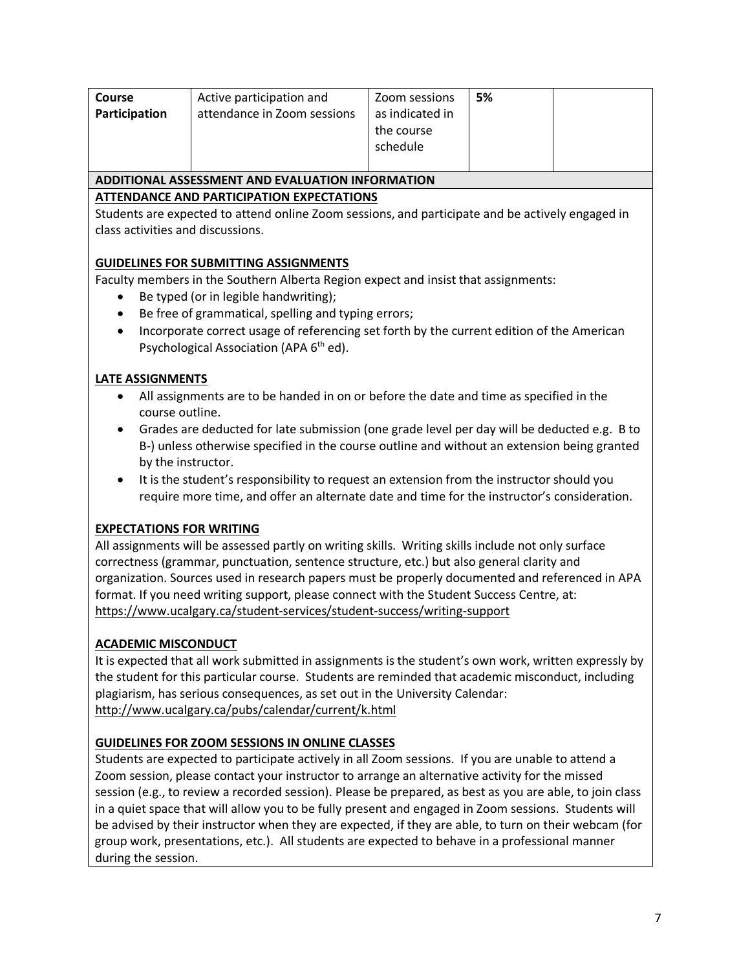| <b>Course</b><br>Participation                   | Active participation and<br>attendance in Zoom sessions | Zoom sessions<br>as indicated in<br>the course<br>schedule | 5% |  |
|--------------------------------------------------|---------------------------------------------------------|------------------------------------------------------------|----|--|
| ADDITIONAL ASSESSMENT AND EVALUATION INFORMATION |                                                         |                                                            |    |  |
|                                                  |                                                         |                                                            |    |  |

### **ATTENDANCE AND PARTICIPATION EXPECTATIONS**

Students are expected to attend online Zoom sessions, and participate and be actively engaged in class activities and discussions.

# **GUIDELINES FOR SUBMITTING ASSIGNMENTS**

Faculty members in the Southern Alberta Region expect and insist that assignments:

- Be typed (or in legible handwriting);
- Be free of grammatical, spelling and typing errors;
- Incorporate correct usage of referencing set forth by the current edition of the American Psychological Association (APA 6<sup>th</sup> ed).

### **LATE ASSIGNMENTS**

- All assignments are to be handed in on or before the date and time as specified in the course outline.
- Grades are deducted for late submission (one grade level per day will be deducted e.g. B to B-) unless otherwise specified in the course outline and without an extension being granted by the instructor.
- It is the student's responsibility to request an extension from the instructor should you require more time, and offer an alternate date and time for the instructor's consideration.

# **EXPECTATIONS FOR WRITING**

All assignments will be assessed partly on writing skills. Writing skills include not only surface correctness (grammar, punctuation, sentence structure, etc.) but also general clarity and organization. Sources used in research papers must be properly documented and referenced in APA format. If you need writing support, please connect with the Student Success Centre, at: <https://www.ucalgary.ca/student-services/student-success/writing-support>

# **ACADEMIC MISCONDUCT**

It is expected that all work submitted in assignments is the student's own work, written expressly by the student for this particular course. Students are reminded that academic misconduct, including plagiarism, has serious consequences, as set out in the University Calendar: <http://www.ucalgary.ca/pubs/calendar/current/k.html>

# **GUIDELINES FOR ZOOM SESSIONS IN ONLINE CLASSES**

Students are expected to participate actively in all Zoom sessions. If you are unable to attend a Zoom session, please contact your instructor to arrange an alternative activity for the missed session (e.g., to review a recorded session). Please be prepared, as best as you are able, to join class in a quiet space that will allow you to be fully present and engaged in Zoom sessions. Students will be advised by their instructor when they are expected, if they are able, to turn on their webcam (for group work, presentations, etc.). All students are expected to behave in a professional manner during the session.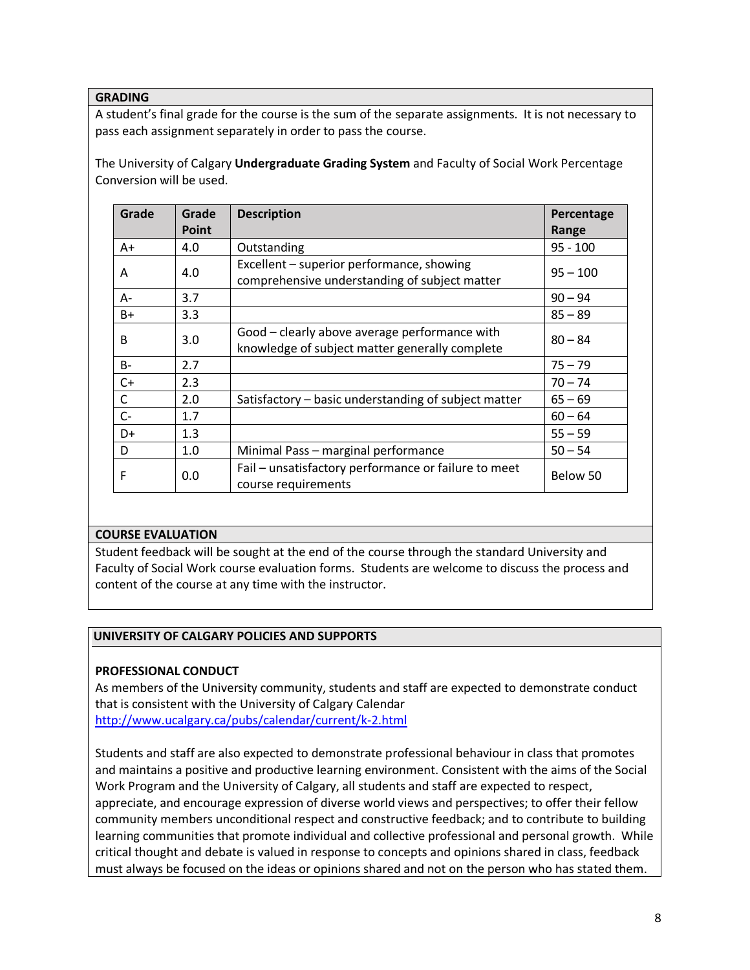#### **GRADING**

A student's final grade for the course is the sum of the separate assignments. It is not necessary to pass each assignment separately in order to pass the course.

The University of Calgary **Undergraduate Grading System** and Faculty of Social Work Percentage Conversion will be used.

| Grade        | Grade | <b>Description</b>                                                                              | Percentage |
|--------------|-------|-------------------------------------------------------------------------------------------------|------------|
|              | Point |                                                                                                 | Range      |
| $A+$         | 4.0   | Outstanding                                                                                     | $95 - 100$ |
| A            | 4.0   | Excellent – superior performance, showing<br>comprehensive understanding of subject matter      | $95 - 100$ |
| $A -$        | 3.7   |                                                                                                 | $90 - 94$  |
| $B+$         | 3.3   |                                                                                                 | $85 - 89$  |
| B            | 3.0   | Good - clearly above average performance with<br>knowledge of subject matter generally complete | $80 - 84$  |
| $B -$        | 2.7   |                                                                                                 | $75 - 79$  |
| $C+$         | 2.3   |                                                                                                 | $70 - 74$  |
| $\mathsf{C}$ | 2.0   | Satisfactory - basic understanding of subject matter                                            | $65 - 69$  |
| $C -$        | 1.7   |                                                                                                 | $60 - 64$  |
| $D+$         | 1.3   |                                                                                                 | $55 - 59$  |
| D            | 1.0   | Minimal Pass - marginal performance                                                             | $50 - 54$  |
| F            | 0.0   | Fail - unsatisfactory performance or failure to meet<br>course requirements                     | Below 50   |

#### **COURSE EVALUATION**

Student feedback will be sought at the end of the course through the standard University and Faculty of Social Work course evaluation forms. Students are welcome to discuss the process and content of the course at any time with the instructor.

#### **UNIVERSITY OF CALGARY POLICIES AND SUPPORTS**

#### **PROFESSIONAL CONDUCT**

As members of the University community, students and staff are expected to demonstrate conduct that is consistent with the University of Calgary Calendar <http://www.ucalgary.ca/pubs/calendar/current/k-2.html>

Students and staff are also expected to demonstrate professional behaviour in class that promotes and maintains a positive and productive learning environment. Consistent with the aims of the Social Work Program and the University of Calgary, all students and staff are expected to respect, appreciate, and encourage expression of diverse world views and perspectives; to offer their fellow community members unconditional respect and constructive feedback; and to contribute to building learning communities that promote individual and collective professional and personal growth. While critical thought and debate is valued in response to concepts and opinions shared in class, feedback must always be focused on the ideas or opinions shared and not on the person who has stated them.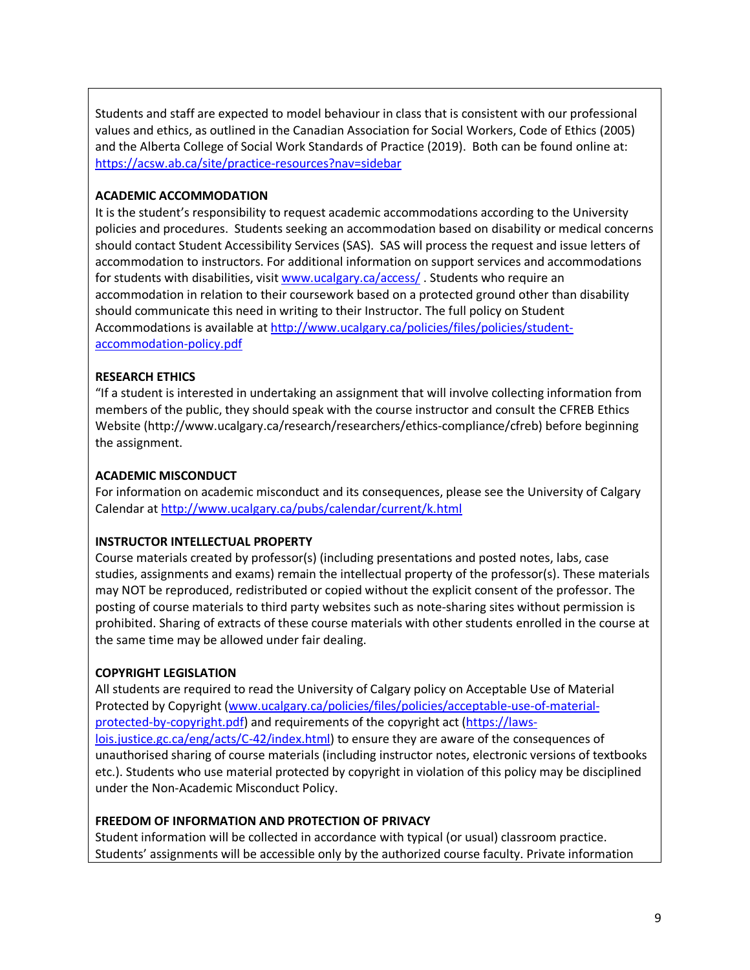Students and staff are expected to model behaviour in class that is consistent with our professional values and ethics, as outlined in the Canadian Association for Social Workers, Code of Ethics (2005) and the Alberta College of Social Work Standards of Practice (2019). Both can be found online at: <https://acsw.ab.ca/site/practice-resources?nav=sidebar>

### **ACADEMIC ACCOMMODATION**

It is the student's responsibility to request academic accommodations according to the University policies and procedures. Students seeking an accommodation based on disability or medical concerns should contact Student Accessibility Services (SAS). SAS will process the request and issue letters of accommodation to instructors. For additional information on support services and accommodations for students with disabilities, visi[t www.ucalgary.ca/access/](http://www.ucalgary.ca/access/) . Students who require an accommodation in relation to their coursework based on a protected ground other than disability should communicate this need in writing to their Instructor. The full policy on Student Accommodations is available at [http://www.ucalgary.ca/policies/files/policies/student](http://www.ucalgary.ca/policies/files/policies/student-accommodation-policy.pdf)[accommodation-policy.pdf](http://www.ucalgary.ca/policies/files/policies/student-accommodation-policy.pdf)

### **RESEARCH ETHICS**

"If a student is interested in undertaking an assignment that will involve collecting information from members of the public, they should speak with the course instructor and consult the CFREB Ethics Website [\(http://www.ucalgary.ca/research/researchers/ethics-compliance/cfreb\)](http://www.ucalgary.ca/research/researchers/ethics-compliance/cfreb) before beginning the assignment.

#### **ACADEMIC MISCONDUCT**

For information on academic misconduct and its consequences, please see the University of Calgary Calendar a[t http://www.ucalgary.ca/pubs/calendar/current/k.html](http://www.ucalgary.ca/pubs/calendar/current/k.html)

#### **INSTRUCTOR INTELLECTUAL PROPERTY**

Course materials created by professor(s) (including presentations and posted notes, labs, case studies, assignments and exams) remain the intellectual property of the professor(s). These materials may NOT be reproduced, redistributed or copied without the explicit consent of the professor. The posting of course materials to third party websites such as note-sharing sites without permission is prohibited. Sharing of extracts of these course materials with other students enrolled in the course at the same time may be allowed under fair dealing.

#### **COPYRIGHT LEGISLATION**

All students are required to read the University of Calgary policy on Acceptable Use of Material Protected by Copyright [\(www.ucalgary.ca/policies/files/policies/acceptable-use-of-material](http://www.ucalgary.ca/policies/files/policies/acceptable-use-of-material-protected-by-copyright.pdf)[protected-by-copyright.pdf\)](http://www.ucalgary.ca/policies/files/policies/acceptable-use-of-material-protected-by-copyright.pdf) and requirements of the copyright act [\(https://laws](https://laws-lois.justice.gc.ca/eng/acts/C-42/index.html)[lois.justice.gc.ca/eng/acts/C-42/index.html\)](https://laws-lois.justice.gc.ca/eng/acts/C-42/index.html) to ensure they are aware of the consequences of unauthorised sharing of course materials (including instructor notes, electronic versions of textbooks etc.). Students who use material protected by copyright in violation of this policy may be disciplined under the Non-Academic Misconduct Policy.

#### **FREEDOM OF INFORMATION AND PROTECTION OF PRIVACY**

Student information will be collected in accordance with typical (or usual) classroom practice. Students' assignments will be accessible only by the authorized course faculty. Private information